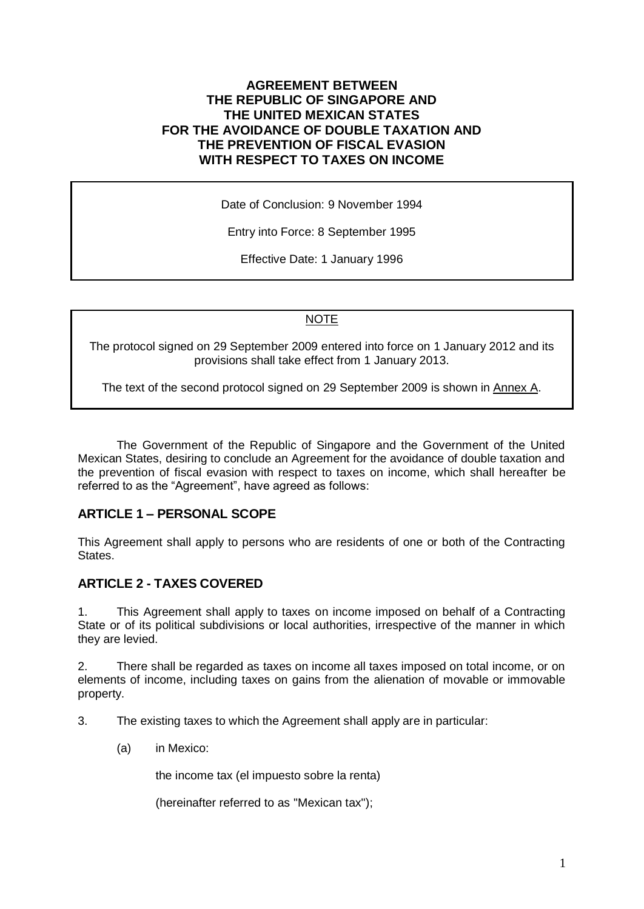#### **AGREEMENT BETWEEN THE REPUBLIC OF SINGAPORE AND THE UNITED MEXICAN STATES FOR THE AVOIDANCE OF DOUBLE TAXATION AND THE PREVENTION OF FISCAL EVASION WITH RESPECT TO TAXES ON INCOME**

Date of Conclusion: 9 November 1994

Entry into Force: 8 September 1995

Effective Date: 1 January 1996

## NOTE

The protocol signed on 29 September 2009 entered into force on 1 January 2012 and its provisions shall take effect from 1 January 2013.

The text of the second protocol signed on 29 September 2009 is shown in Annex A.

The Government of the Republic of Singapore and the Government of the United Mexican States, desiring to conclude an Agreement for the avoidance of double taxation and the prevention of fiscal evasion with respect to taxes on income, which shall hereafter be referred to as the "Agreement", have agreed as follows:

#### **ARTICLE 1 – PERSONAL SCOPE**

This Agreement shall apply to persons who are residents of one or both of the Contracting States.

#### **ARTICLE 2 - TAXES COVERED**

1. This Agreement shall apply to taxes on income imposed on behalf of a Contracting State or of its political subdivisions or local authorities, irrespective of the manner in which they are levied.

2. There shall be regarded as taxes on income all taxes imposed on total income, or on elements of income, including taxes on gains from the alienation of movable or immovable property.

3. The existing taxes to which the Agreement shall apply are in particular:

(a) in Mexico:

the income tax (el impuesto sobre la renta)

(hereinafter referred to as "Mexican tax");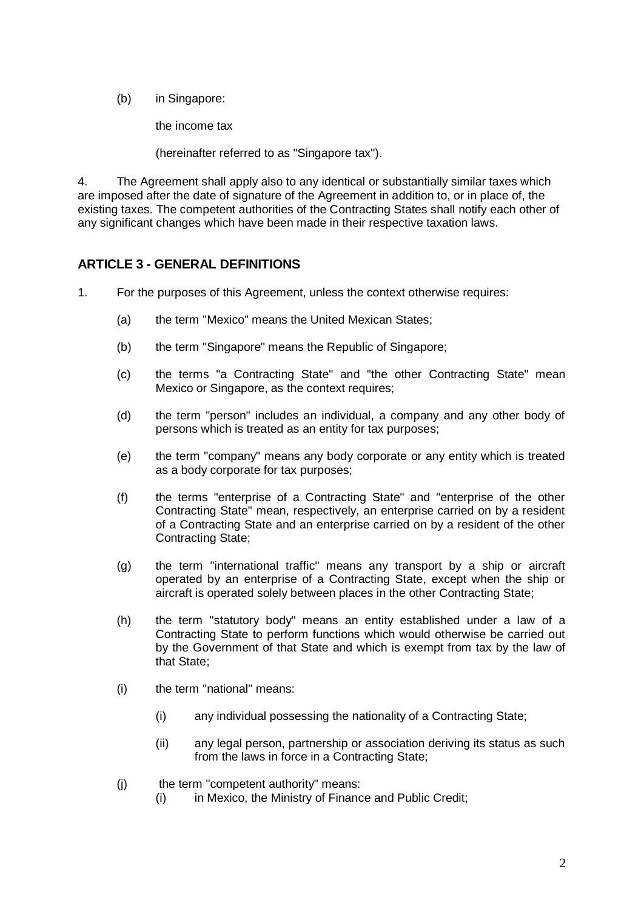(b) in Singapore:

the income tax

(hereinafter referred to as "Singapore tax").

4. The Agreement shall apply also to any identical or substantially similar taxes which are imposed after the date of signature of the Agreement in addition to, or in place of, the existing taxes. The competent authorities of the Contracting States shall notify each other of any significant changes which have been made in their respective taxation laws.

## **ARTICLE 3 - GENERAL DEFINITIONS**

- 1. For the purposes of this Agreement, unless the context otherwise requires:
	- (a) the term "Mexico" means the United Mexican States;
	- (b) the term "Singapore" means the Republic of Singapore;
	- (c) the terms "a Contracting State" and "the other Contracting State" mean Mexico or Singapore, as the context requires;
	- (d) the term "person" includes an individual, a company and any other body of persons which is treated as an entity for tax purposes;
	- (e) the term "company" means any body corporate or any entity which is treated as a body corporate for tax purposes;
	- (f) the terms "enterprise of a Contracting State" and "enterprise of the other Contracting State" mean, respectively, an enterprise carried on by a resident of a Contracting State and an enterprise carried on by a resident of the other Contracting State;
	- (g) the term "international traffic" means any transport by a ship or aircraft operated by an enterprise of a Contracting State, except when the ship or aircraft is operated solely between places in the other Contracting State;
	- (h) the term "statutory body" means an entity established under a law of a Contracting State to perform functions which would otherwise be carried out by the Government of that State and which is exempt from tax by the law of that State;
	- (i) the term "national" means:
		- (i) any individual possessing the nationality of a Contracting State;
		- (ii) any legal person, partnership or association deriving its status as such from the laws in force in a Contracting State;
	- (j) the term "competent authority" means:
		- (i) in Mexico, the Ministry of Finance and Public Credit;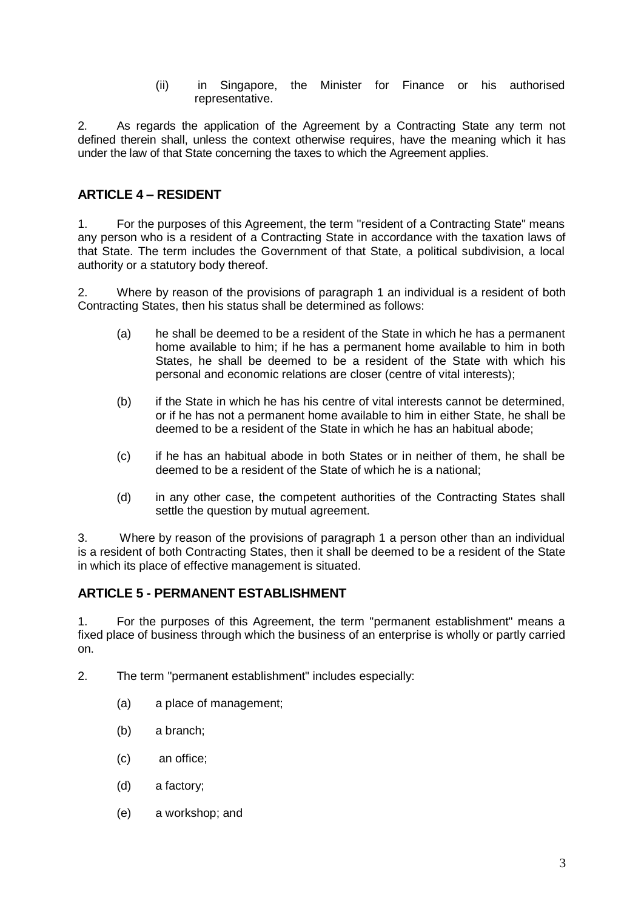(ii) in Singapore, the Minister for Finance or his authorised representative.

2. As regards the application of the Agreement by a Contracting State any term not defined therein shall, unless the context otherwise requires, have the meaning which it has under the law of that State concerning the taxes to which the Agreement applies.

## **ARTICLE 4 – RESIDENT**

1. For the purposes of this Agreement, the term "resident of a Contracting State" means any person who is a resident of a Contracting State in accordance with the taxation laws of that State. The term includes the Government of that State, a political subdivision, a local authority or a statutory body thereof.

2. Where by reason of the provisions of paragraph 1 an individual is a resident of both Contracting States, then his status shall be determined as follows:

- (a) he shall be deemed to be a resident of the State in which he has a permanent home available to him; if he has a permanent home available to him in both States, he shall be deemed to be a resident of the State with which his personal and economic relations are closer (centre of vital interests);
- (b) if the State in which he has his centre of vital interests cannot be determined, or if he has not a permanent home available to him in either State, he shall be deemed to be a resident of the State in which he has an habitual abode;
- (c) if he has an habitual abode in both States or in neither of them, he shall be deemed to be a resident of the State of which he is a national;
- (d) in any other case, the competent authorities of the Contracting States shall settle the question by mutual agreement.

3. Where by reason of the provisions of paragraph 1 a person other than an individual is a resident of both Contracting States, then it shall be deemed to be a resident of the State in which its place of effective management is situated.

#### **ARTICLE 5 - PERMANENT ESTABLISHMENT**

1. For the purposes of this Agreement, the term "permanent establishment" means a fixed place of business through which the business of an enterprise is wholly or partly carried on.

- 2. The term "permanent establishment" includes especially:
	- (a) a place of management;
	- (b) a branch;
	- (c) an office;
	- (d) a factory;
	- (e) a workshop; and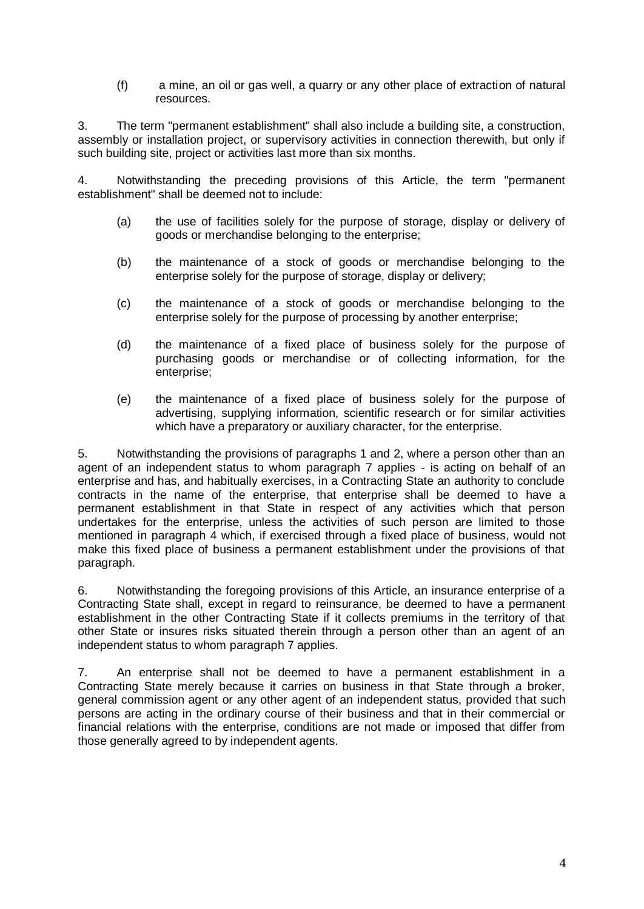(f) a mine, an oil or gas well, a quarry or any other place of extraction of natural resources.

3. The term "permanent establishment" shall also include a building site, a construction, assembly or installation project, or supervisory activities in connection therewith, but only if such building site, project or activities last more than six months.

4. Notwithstanding the preceding provisions of this Article, the term "permanent establishment" shall be deemed not to include:

- (a) the use of facilities solely for the purpose of storage, display or delivery of goods or merchandise belonging to the enterprise;
- (b) the maintenance of a stock of goods or merchandise belonging to the enterprise solely for the purpose of storage, display or delivery;
- (c) the maintenance of a stock of goods or merchandise belonging to the enterprise solely for the purpose of processing by another enterprise;
- (d) the maintenance of a fixed place of business solely for the purpose of purchasing goods or merchandise or of collecting information, for the enterprise;
- (e) the maintenance of a fixed place of business solely for the purpose of advertising, supplying information, scientific research or for similar activities which have a preparatory or auxiliary character, for the enterprise.

5. Notwithstanding the provisions of paragraphs 1 and 2, where a person other than an agent of an independent status to whom paragraph 7 applies - is acting on behalf of an enterprise and has, and habitually exercises, in a Contracting State an authority to conclude contracts in the name of the enterprise, that enterprise shall be deemed to have a permanent establishment in that State in respect of any activities which that person undertakes for the enterprise, unless the activities of such person are limited to those mentioned in paragraph 4 which, if exercised through a fixed place of business, would not make this fixed place of business a permanent establishment under the provisions of that paragraph.

6. Notwithstanding the foregoing provisions of this Article, an insurance enterprise of a Contracting State shall, except in regard to reinsurance, be deemed to have a permanent establishment in the other Contracting State if it collects premiums in the territory of that other State or insures risks situated therein through a person other than an agent of an independent status to whom paragraph 7 applies.

7. An enterprise shall not be deemed to have a permanent establishment in a Contracting State merely because it carries on business in that State through a broker, general commission agent or any other agent of an independent status, provided that such persons are acting in the ordinary course of their business and that in their commercial or financial relations with the enterprise, conditions are not made or imposed that differ from those generally agreed to by independent agents.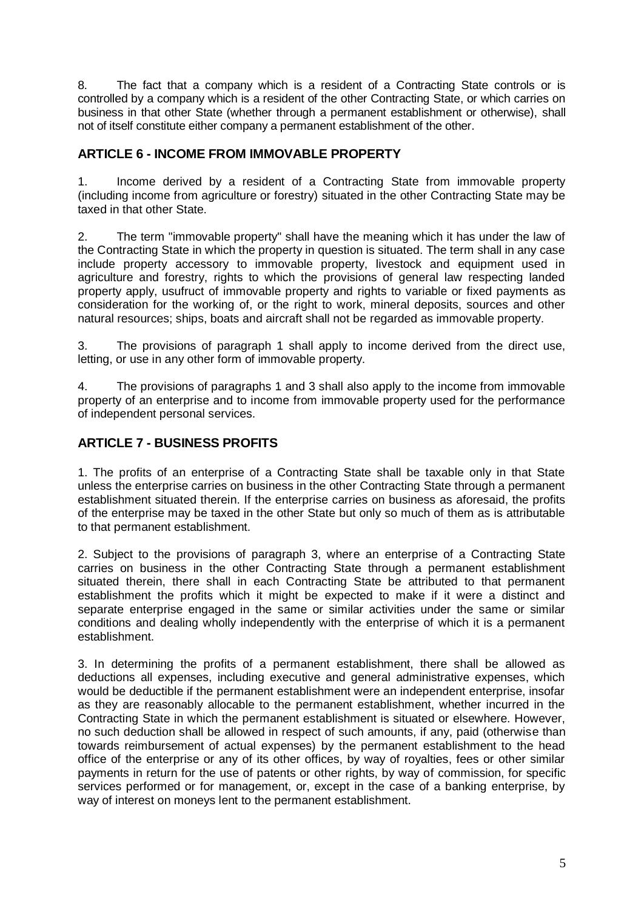8. The fact that a company which is a resident of a Contracting State controls or is controlled by a company which is a resident of the other Contracting State, or which carries on business in that other State (whether through a permanent establishment or otherwise), shall not of itself constitute either company a permanent establishment of the other.

#### **ARTICLE 6 - INCOME FROM IMMOVABLE PROPERTY**

1. Income derived by a resident of a Contracting State from immovable property (including income from agriculture or forestry) situated in the other Contracting State may be taxed in that other State.

2. The term "immovable property" shall have the meaning which it has under the law of the Contracting State in which the property in question is situated. The term shall in any case include property accessory to immovable property, livestock and equipment used in agriculture and forestry, rights to which the provisions of general law respecting landed property apply, usufruct of immovable property and rights to variable or fixed payments as consideration for the working of, or the right to work, mineral deposits, sources and other natural resources; ships, boats and aircraft shall not be regarded as immovable property.

3. The provisions of paragraph 1 shall apply to income derived from the direct use, letting, or use in any other form of immovable property.

4. The provisions of paragraphs 1 and 3 shall also apply to the income from immovable property of an enterprise and to income from immovable property used for the performance of independent personal services.

# **ARTICLE 7 - BUSINESS PROFITS**

1. The profits of an enterprise of a Contracting State shall be taxable only in that State unless the enterprise carries on business in the other Contracting State through a permanent establishment situated therein. If the enterprise carries on business as aforesaid, the profits of the enterprise may be taxed in the other State but only so much of them as is attributable to that permanent establishment.

2. Subject to the provisions of paragraph 3, where an enterprise of a Contracting State carries on business in the other Contracting State through a permanent establishment situated therein, there shall in each Contracting State be attributed to that permanent establishment the profits which it might be expected to make if it were a distinct and separate enterprise engaged in the same or similar activities under the same or similar conditions and dealing wholly independently with the enterprise of which it is a permanent establishment.

3. In determining the profits of a permanent establishment, there shall be allowed as deductions all expenses, including executive and general administrative expenses, which would be deductible if the permanent establishment were an independent enterprise, insofar as they are reasonably allocable to the permanent establishment, whether incurred in the Contracting State in which the permanent establishment is situated or elsewhere. However, no such deduction shall be allowed in respect of such amounts, if any, paid (otherwise than towards reimbursement of actual expenses) by the permanent establishment to the head office of the enterprise or any of its other offices, by way of royalties, fees or other similar payments in return for the use of patents or other rights, by way of commission, for specific services performed or for management, or, except in the case of a banking enterprise, by way of interest on moneys lent to the permanent establishment.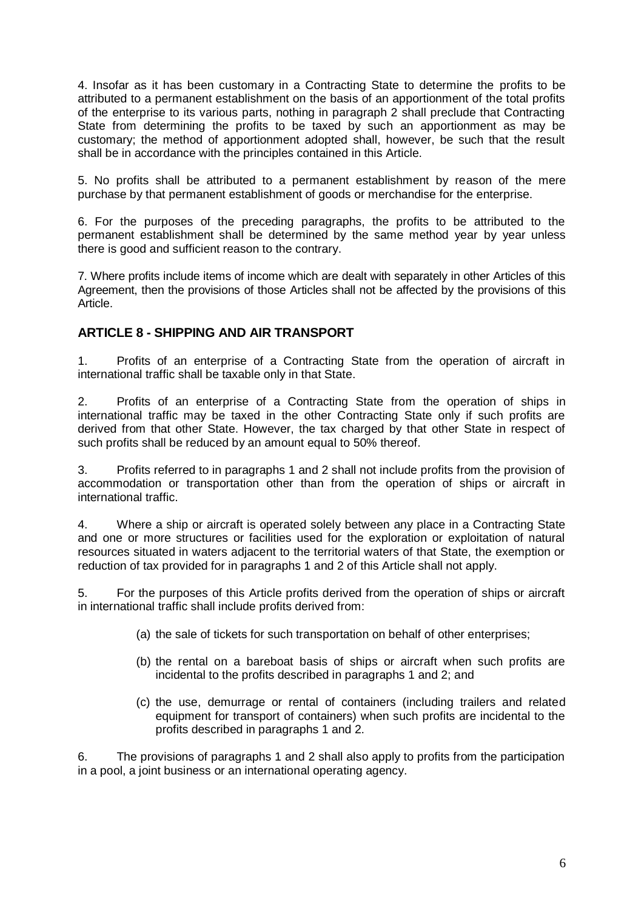4. Insofar as it has been customary in a Contracting State to determine the profits to be attributed to a permanent establishment on the basis of an apportionment of the total profits of the enterprise to its various parts, nothing in paragraph 2 shall preclude that Contracting State from determining the profits to be taxed by such an apportionment as may be customary; the method of apportionment adopted shall, however, be such that the result shall be in accordance with the principles contained in this Article.

5. No profits shall be attributed to a permanent establishment by reason of the mere purchase by that permanent establishment of goods or merchandise for the enterprise.

6. For the purposes of the preceding paragraphs, the profits to be attributed to the permanent establishment shall be determined by the same method year by year unless there is good and sufficient reason to the contrary.

7. Where profits include items of income which are dealt with separately in other Articles of this Agreement, then the provisions of those Articles shall not be affected by the provisions of this Article.

## **ARTICLE 8 - SHIPPING AND AIR TRANSPORT**

1. Profits of an enterprise of a Contracting State from the operation of aircraft in international traffic shall be taxable only in that State.

2. Profits of an enterprise of a Contracting State from the operation of ships in international traffic may be taxed in the other Contracting State only if such profits are derived from that other State. However, the tax charged by that other State in respect of such profits shall be reduced by an amount equal to 50% thereof.

3. Profits referred to in paragraphs 1 and 2 shall not include profits from the provision of accommodation or transportation other than from the operation of ships or aircraft in international traffic.

4. Where a ship or aircraft is operated solely between any place in a Contracting State and one or more structures or facilities used for the exploration or exploitation of natural resources situated in waters adjacent to the territorial waters of that State, the exemption or reduction of tax provided for in paragraphs 1 and 2 of this Article shall not apply.

5. For the purposes of this Article profits derived from the operation of ships or aircraft in international traffic shall include profits derived from:

- (a) the sale of tickets for such transportation on behalf of other enterprises;
- (b) the rental on a bareboat basis of ships or aircraft when such profits are incidental to the profits described in paragraphs 1 and 2; and
- (c) the use, demurrage or rental of containers (including trailers and related equipment for transport of containers) when such profits are incidental to the profits described in paragraphs 1 and 2.

6. The provisions of paragraphs 1 and 2 shall also apply to profits from the participation in a pool, a joint business or an international operating agency.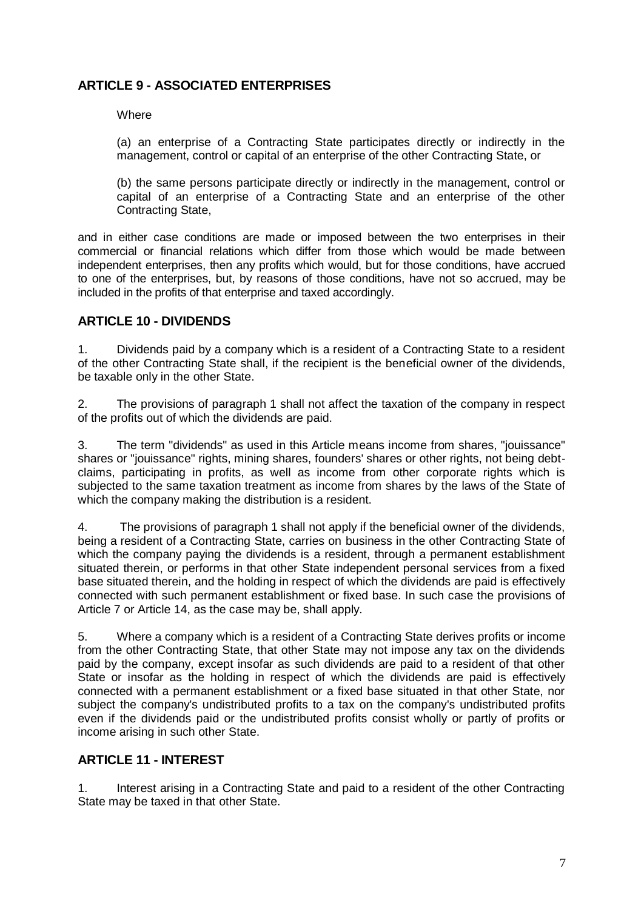# **ARTICLE 9 - ASSOCIATED ENTERPRISES**

#### **Where**

(a) an enterprise of a Contracting State participates directly or indirectly in the management, control or capital of an enterprise of the other Contracting State, or

(b) the same persons participate directly or indirectly in the management, control or capital of an enterprise of a Contracting State and an enterprise of the other Contracting State,

and in either case conditions are made or imposed between the two enterprises in their commercial or financial relations which differ from those which would be made between independent enterprises, then any profits which would, but for those conditions, have accrued to one of the enterprises, but, by reasons of those conditions, have not so accrued, may be included in the profits of that enterprise and taxed accordingly.

# **ARTICLE 10 - DIVIDENDS**

1. Dividends paid by a company which is a resident of a Contracting State to a resident of the other Contracting State shall, if the recipient is the beneficial owner of the dividends, be taxable only in the other State.

2. The provisions of paragraph 1 shall not affect the taxation of the company in respect of the profits out of which the dividends are paid.

3. The term "dividends" as used in this Article means income from shares, "jouissance" shares or "jouissance" rights, mining shares, founders' shares or other rights, not being debtclaims, participating in profits, as well as income from other corporate rights which is subjected to the same taxation treatment as income from shares by the laws of the State of which the company making the distribution is a resident.

4. The provisions of paragraph 1 shall not apply if the beneficial owner of the dividends, being a resident of a Contracting State, carries on business in the other Contracting State of which the company paying the dividends is a resident, through a permanent establishment situated therein, or performs in that other State independent personal services from a fixed base situated therein, and the holding in respect of which the dividends are paid is effectively connected with such permanent establishment or fixed base. In such case the provisions of Article 7 or Article 14, as the case may be, shall apply.

5. Where a company which is a resident of a Contracting State derives profits or income from the other Contracting State, that other State may not impose any tax on the dividends paid by the company, except insofar as such dividends are paid to a resident of that other State or insofar as the holding in respect of which the dividends are paid is effectively connected with a permanent establishment or a fixed base situated in that other State, nor subject the company's undistributed profits to a tax on the company's undistributed profits even if the dividends paid or the undistributed profits consist wholly or partly of profits or income arising in such other State.

# **ARTICLE 11 - INTEREST**

1. Interest arising in a Contracting State and paid to a resident of the other Contracting State may be taxed in that other State.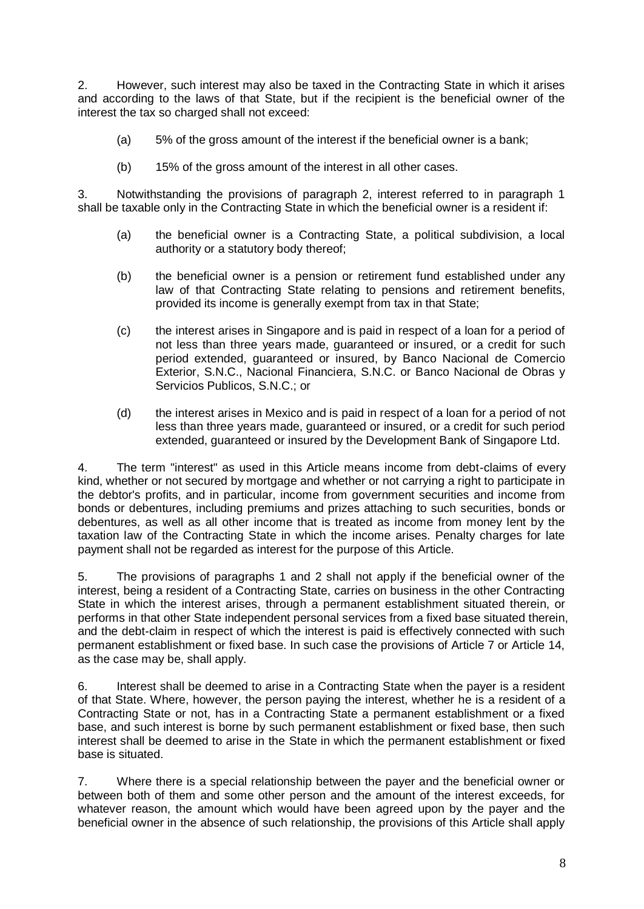2. However, such interest may also be taxed in the Contracting State in which it arises and according to the laws of that State, but if the recipient is the beneficial owner of the interest the tax so charged shall not exceed:

- (a) 5% of the gross amount of the interest if the beneficial owner is a bank;
- (b) 15% of the gross amount of the interest in all other cases.

3. Notwithstanding the provisions of paragraph 2, interest referred to in paragraph 1 shall be taxable only in the Contracting State in which the beneficial owner is a resident if:

- (a) the beneficial owner is a Contracting State, a political subdivision, a local authority or a statutory body thereof;
- (b) the beneficial owner is a pension or retirement fund established under any law of that Contracting State relating to pensions and retirement benefits, provided its income is generally exempt from tax in that State;
- (c) the interest arises in Singapore and is paid in respect of a loan for a period of not less than three years made, guaranteed or insured, or a credit for such period extended, guaranteed or insured, by Banco Nacional de Comercio Exterior, S.N.C., Nacional Financiera, S.N.C. or Banco Nacional de Obras y Servicios Publicos, S.N.C.; or
- (d) the interest arises in Mexico and is paid in respect of a loan for a period of not less than three years made, guaranteed or insured, or a credit for such period extended, guaranteed or insured by the Development Bank of Singapore Ltd.

4. The term "interest" as used in this Article means income from debt-claims of every kind, whether or not secured by mortgage and whether or not carrying a right to participate in the debtor's profits, and in particular, income from government securities and income from bonds or debentures, including premiums and prizes attaching to such securities, bonds or debentures, as well as all other income that is treated as income from money lent by the taxation law of the Contracting State in which the income arises. Penalty charges for late payment shall not be regarded as interest for the purpose of this Article.

5. The provisions of paragraphs 1 and 2 shall not apply if the beneficial owner of the interest, being a resident of a Contracting State, carries on business in the other Contracting State in which the interest arises, through a permanent establishment situated therein, or performs in that other State independent personal services from a fixed base situated therein, and the debt-claim in respect of which the interest is paid is effectively connected with such permanent establishment or fixed base. In such case the provisions of Article 7 or Article 14, as the case may be, shall apply.

6. Interest shall be deemed to arise in a Contracting State when the payer is a resident of that State. Where, however, the person paying the interest, whether he is a resident of a Contracting State or not, has in a Contracting State a permanent establishment or a fixed base, and such interest is borne by such permanent establishment or fixed base, then such interest shall be deemed to arise in the State in which the permanent establishment or fixed base is situated.

7. Where there is a special relationship between the payer and the beneficial owner or between both of them and some other person and the amount of the interest exceeds, for whatever reason, the amount which would have been agreed upon by the payer and the beneficial owner in the absence of such relationship, the provisions of this Article shall apply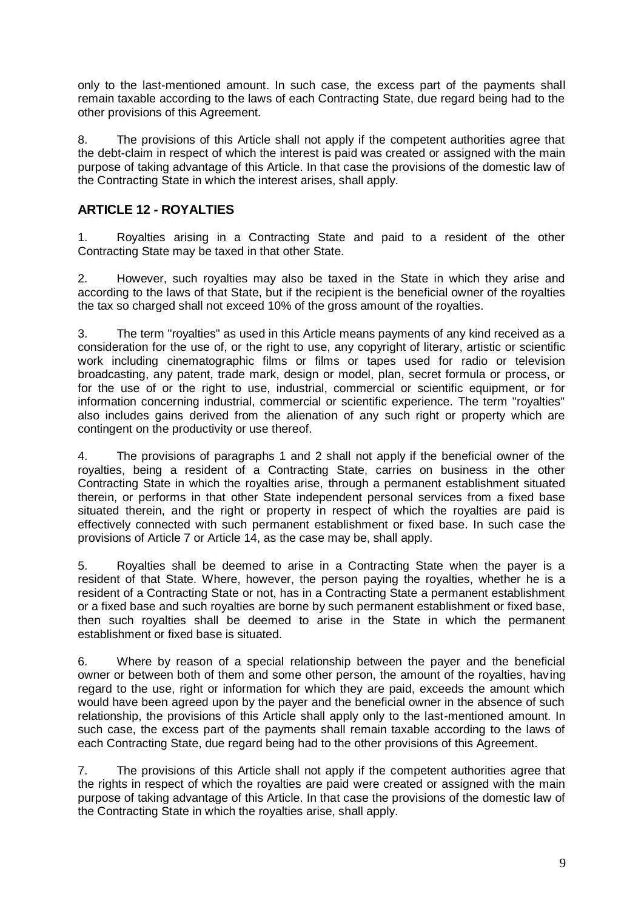only to the last-mentioned amount. In such case, the excess part of the payments shall remain taxable according to the laws of each Contracting State, due regard being had to the other provisions of this Agreement.

8. The provisions of this Article shall not apply if the competent authorities agree that the debt-claim in respect of which the interest is paid was created or assigned with the main purpose of taking advantage of this Article. In that case the provisions of the domestic law of the Contracting State in which the interest arises, shall apply.

# **ARTICLE 12 - ROYALTIES**

1. Royalties arising in a Contracting State and paid to a resident of the other Contracting State may be taxed in that other State.

2. However, such royalties may also be taxed in the State in which they arise and according to the laws of that State, but if the recipient is the beneficial owner of the royalties the tax so charged shall not exceed 10% of the gross amount of the royalties.

3. The term "royalties" as used in this Article means payments of any kind received as a consideration for the use of, or the right to use, any copyright of literary, artistic or scientific work including cinematographic films or films or tapes used for radio or television broadcasting, any patent, trade mark, design or model, plan, secret formula or process, or for the use of or the right to use, industrial, commercial or scientific equipment, or for information concerning industrial, commercial or scientific experience. The term "royalties" also includes gains derived from the alienation of any such right or property which are contingent on the productivity or use thereof.

4. The provisions of paragraphs 1 and 2 shall not apply if the beneficial owner of the royalties, being a resident of a Contracting State, carries on business in the other Contracting State in which the royalties arise, through a permanent establishment situated therein, or performs in that other State independent personal services from a fixed base situated therein, and the right or property in respect of which the royalties are paid is effectively connected with such permanent establishment or fixed base. In such case the provisions of Article 7 or Article 14, as the case may be, shall apply.

5. Royalties shall be deemed to arise in a Contracting State when the payer is a resident of that State. Where, however, the person paying the royalties, whether he is a resident of a Contracting State or not, has in a Contracting State a permanent establishment or a fixed base and such royalties are borne by such permanent establishment or fixed base, then such royalties shall be deemed to arise in the State in which the permanent establishment or fixed base is situated.

6. Where by reason of a special relationship between the payer and the beneficial owner or between both of them and some other person, the amount of the royalties, having regard to the use, right or information for which they are paid, exceeds the amount which would have been agreed upon by the payer and the beneficial owner in the absence of such relationship, the provisions of this Article shall apply only to the last-mentioned amount. In such case, the excess part of the payments shall remain taxable according to the laws of each Contracting State, due regard being had to the other provisions of this Agreement.

7. The provisions of this Article shall not apply if the competent authorities agree that the rights in respect of which the royalties are paid were created or assigned with the main purpose of taking advantage of this Article. In that case the provisions of the domestic law of the Contracting State in which the royalties arise, shall apply.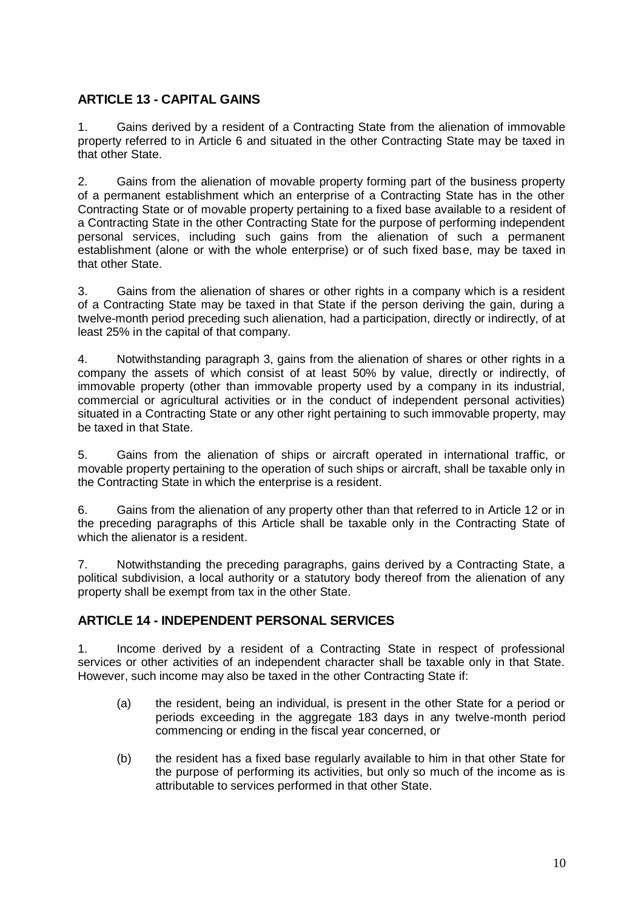# **ARTICLE 13 - CAPITAL GAINS**

1. Gains derived by a resident of a Contracting State from the alienation of immovable property referred to in Article 6 and situated in the other Contracting State may be taxed in that other State.

2. Gains from the alienation of movable property forming part of the business property of a permanent establishment which an enterprise of a Contracting State has in the other Contracting State or of movable property pertaining to a fixed base available to a resident of a Contracting State in the other Contracting State for the purpose of performing independent personal services, including such gains from the alienation of such a permanent establishment (alone or with the whole enterprise) or of such fixed base, may be taxed in that other State.

3. Gains from the alienation of shares or other rights in a company which is a resident of a Contracting State may be taxed in that State if the person deriving the gain, during a twelve-month period preceding such alienation, had a participation, directly or indirectly, of at least 25% in the capital of that company.

4. Notwithstanding paragraph 3, gains from the alienation of shares or other rights in a company the assets of which consist of at least 50% by value, directly or indirectly, of immovable property (other than immovable property used by a company in its industrial, commercial or agricultural activities or in the conduct of independent personal activities) situated in a Contracting State or any other right pertaining to such immovable property, may be taxed in that State.

5. Gains from the alienation of ships or aircraft operated in international traffic, or movable property pertaining to the operation of such ships or aircraft, shall be taxable only in the Contracting State in which the enterprise is a resident.

6. Gains from the alienation of any property other than that referred to in Article 12 or in the preceding paragraphs of this Article shall be taxable only in the Contracting State of which the alienator is a resident.

7. Notwithstanding the preceding paragraphs, gains derived by a Contracting State, a political subdivision, a local authority or a statutory body thereof from the alienation of any property shall be exempt from tax in the other State.

#### **ARTICLE 14 - INDEPENDENT PERSONAL SERVICES**

1. Income derived by a resident of a Contracting State in respect of professional services or other activities of an independent character shall be taxable only in that State. However, such income may also be taxed in the other Contracting State if:

- (a) the resident, being an individual, is present in the other State for a period or periods exceeding in the aggregate 183 days in any twelve-month period commencing or ending in the fiscal year concerned, or
- (b) the resident has a fixed base regularly available to him in that other State for the purpose of performing its activities, but only so much of the income as is attributable to services performed in that other State.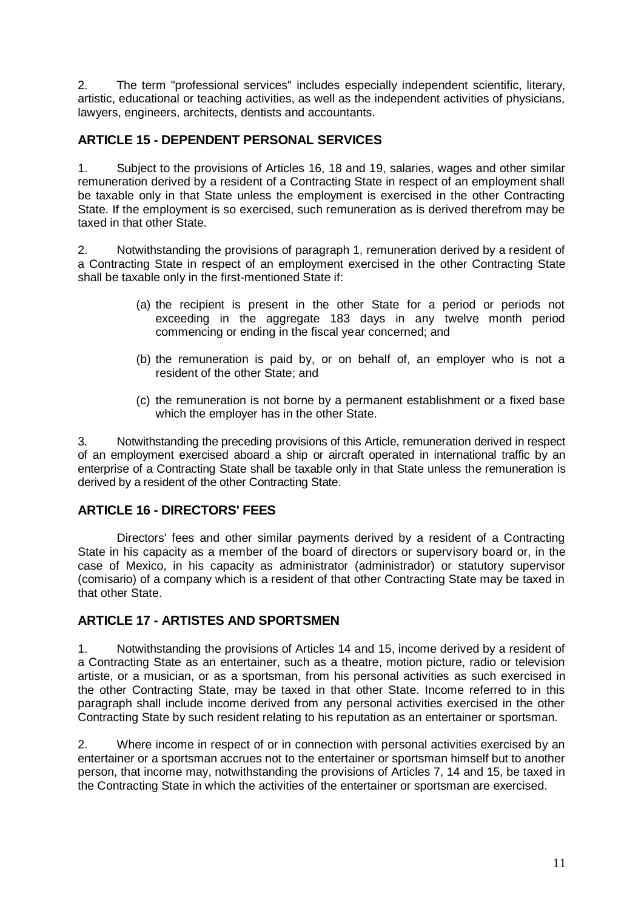2. The term "professional services" includes especially independent scientific, literary, artistic, educational or teaching activities, as well as the independent activities of physicians, lawyers, engineers, architects, dentists and accountants.

## **ARTICLE 15 - DEPENDENT PERSONAL SERVICES**

1. Subject to the provisions of Articles 16, 18 and 19, salaries, wages and other similar remuneration derived by a resident of a Contracting State in respect of an employment shall be taxable only in that State unless the employment is exercised in the other Contracting State. If the employment is so exercised, such remuneration as is derived therefrom may be taxed in that other State.

2. Notwithstanding the provisions of paragraph 1, remuneration derived by a resident of a Contracting State in respect of an employment exercised in the other Contracting State shall be taxable only in the first-mentioned State if:

- (a) the recipient is present in the other State for a period or periods not exceeding in the aggregate 183 days in any twelve month period commencing or ending in the fiscal year concerned; and
- (b) the remuneration is paid by, or on behalf of, an employer who is not a resident of the other State; and
- (c) the remuneration is not borne by a permanent establishment or a fixed base which the employer has in the other State.

3. Notwithstanding the preceding provisions of this Article, remuneration derived in respect of an employment exercised aboard a ship or aircraft operated in international traffic by an enterprise of a Contracting State shall be taxable only in that State unless the remuneration is derived by a resident of the other Contracting State.

#### **ARTICLE 16 - DIRECTORS' FEES**

Directors' fees and other similar payments derived by a resident of a Contracting State in his capacity as a member of the board of directors or supervisory board or, in the case of Mexico, in his capacity as administrator (administrador) or statutory supervisor (comisario) of a company which is a resident of that other Contracting State may be taxed in that other State.

# **ARTICLE 17 - ARTISTES AND SPORTSMEN**

1. Notwithstanding the provisions of Articles 14 and 15, income derived by a resident of a Contracting State as an entertainer, such as a theatre, motion picture, radio or television artiste, or a musician, or as a sportsman, from his personal activities as such exercised in the other Contracting State, may be taxed in that other State. Income referred to in this paragraph shall include income derived from any personal activities exercised in the other Contracting State by such resident relating to his reputation as an entertainer or sportsman.

2. Where income in respect of or in connection with personal activities exercised by an entertainer or a sportsman accrues not to the entertainer or sportsman himself but to another person, that income may, notwithstanding the provisions of Articles 7, 14 and 15, be taxed in the Contracting State in which the activities of the entertainer or sportsman are exercised.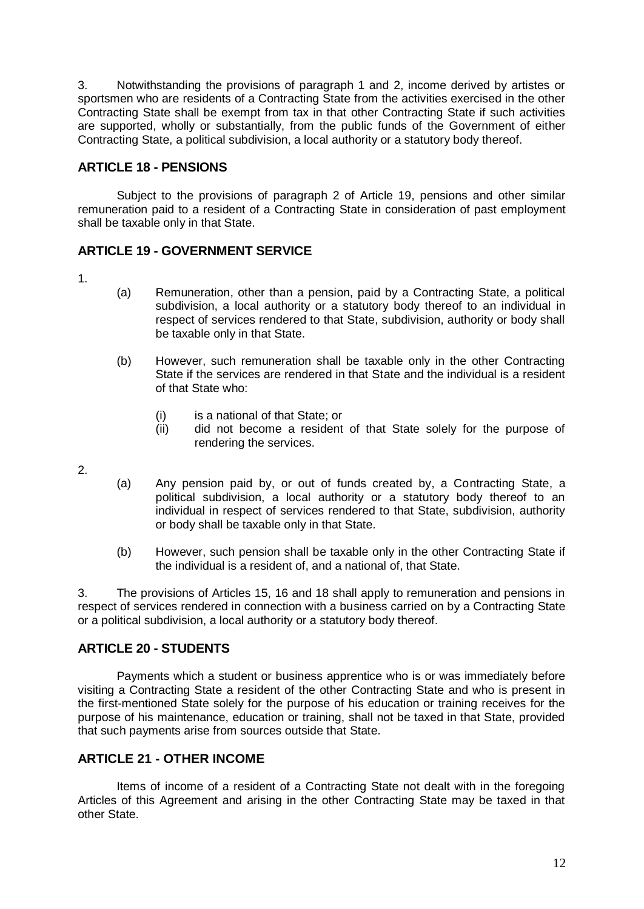3. Notwithstanding the provisions of paragraph 1 and 2, income derived by artistes or sportsmen who are residents of a Contracting State from the activities exercised in the other Contracting State shall be exempt from tax in that other Contracting State if such activities are supported, wholly or substantially, from the public funds of the Government of either Contracting State, a political subdivision, a local authority or a statutory body thereof.

## **ARTICLE 18 - PENSIONS**

Subject to the provisions of paragraph 2 of Article 19, pensions and other similar remuneration paid to a resident of a Contracting State in consideration of past employment shall be taxable only in that State.

#### **ARTICLE 19 - GOVERNMENT SERVICE**

- 1.
- (a) Remuneration, other than a pension, paid by a Contracting State, a political subdivision, a local authority or a statutory body thereof to an individual in respect of services rendered to that State, subdivision, authority or body shall be taxable only in that State.
- (b) However, such remuneration shall be taxable only in the other Contracting State if the services are rendered in that State and the individual is a resident of that State who:
	- (i) is a national of that State; or
	- (ii) did not become a resident of that State solely for the purpose of rendering the services.
- 2.
- (a) Any pension paid by, or out of funds created by, a Contracting State, a political subdivision, a local authority or a statutory body thereof to an individual in respect of services rendered to that State, subdivision, authority or body shall be taxable only in that State.
- (b) However, such pension shall be taxable only in the other Contracting State if the individual is a resident of, and a national of, that State.

3. The provisions of Articles 15, 16 and 18 shall apply to remuneration and pensions in respect of services rendered in connection with a business carried on by a Contracting State or a political subdivision, a local authority or a statutory body thereof.

#### **ARTICLE 20 - STUDENTS**

Payments which a student or business apprentice who is or was immediately before visiting a Contracting State a resident of the other Contracting State and who is present in the first-mentioned State solely for the purpose of his education or training receives for the purpose of his maintenance, education or training, shall not be taxed in that State, provided that such payments arise from sources outside that State.

# **ARTICLE 21 - OTHER INCOME**

Items of income of a resident of a Contracting State not dealt with in the foregoing Articles of this Agreement and arising in the other Contracting State may be taxed in that other State.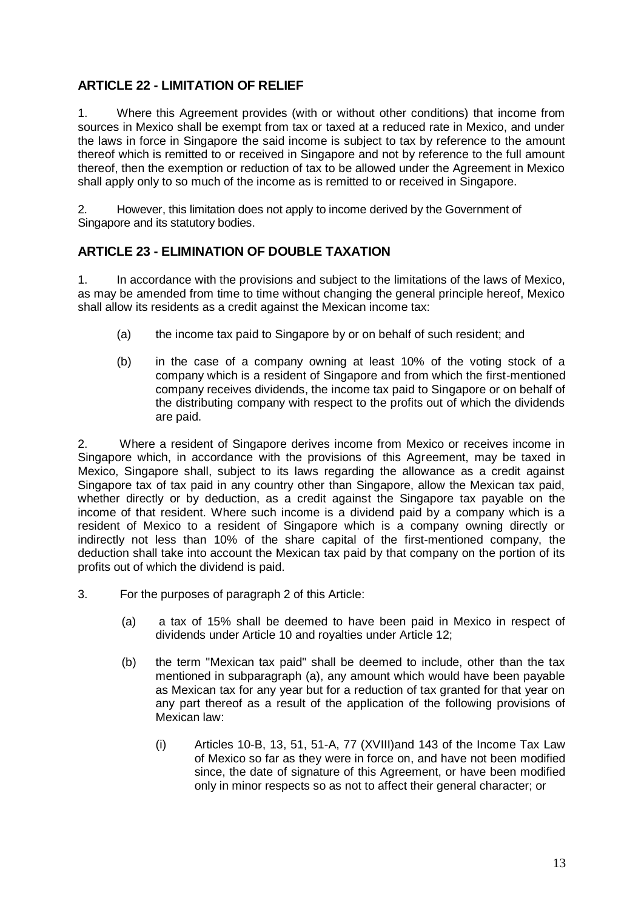# **ARTICLE 22 - LIMITATION OF RELIEF**

1. Where this Agreement provides (with or without other conditions) that income from sources in Mexico shall be exempt from tax or taxed at a reduced rate in Mexico, and under the laws in force in Singapore the said income is subject to tax by reference to the amount thereof which is remitted to or received in Singapore and not by reference to the full amount thereof, then the exemption or reduction of tax to be allowed under the Agreement in Mexico shall apply only to so much of the income as is remitted to or received in Singapore.

2. However, this limitation does not apply to income derived by the Government of Singapore and its statutory bodies.

## **ARTICLE 23 - ELIMINATION OF DOUBLE TAXATION**

1. In accordance with the provisions and subject to the limitations of the laws of Mexico, as may be amended from time to time without changing the general principle hereof, Mexico shall allow its residents as a credit against the Mexican income tax:

- (a) the income tax paid to Singapore by or on behalf of such resident; and
- (b) in the case of a company owning at least 10% of the voting stock of a company which is a resident of Singapore and from which the first-mentioned company receives dividends, the income tax paid to Singapore or on behalf of the distributing company with respect to the profits out of which the dividends are paid.

2. Where a resident of Singapore derives income from Mexico or receives income in Singapore which, in accordance with the provisions of this Agreement, may be taxed in Mexico, Singapore shall, subject to its laws regarding the allowance as a credit against Singapore tax of tax paid in any country other than Singapore, allow the Mexican tax paid, whether directly or by deduction, as a credit against the Singapore tax payable on the income of that resident. Where such income is a dividend paid by a company which is a resident of Mexico to a resident of Singapore which is a company owning directly or indirectly not less than 10% of the share capital of the first-mentioned company, the deduction shall take into account the Mexican tax paid by that company on the portion of its profits out of which the dividend is paid.

- 3. For the purposes of paragraph 2 of this Article:
	- (a) a tax of 15% shall be deemed to have been paid in Mexico in respect of dividends under Article 10 and royalties under Article 12;
	- (b) the term "Mexican tax paid" shall be deemed to include, other than the tax mentioned in subparagraph (a), any amount which would have been payable as Mexican tax for any year but for a reduction of tax granted for that year on any part thereof as a result of the application of the following provisions of Mexican law:
		- $(i)$  Articles 10-B, 13, 51, 51-A, 77 (XVIII)and 143 of the Income Tax Law of Mexico so far as they were in force on, and have not been modified since, the date of signature of this Agreement, or have been modified only in minor respects so as not to affect their general character; or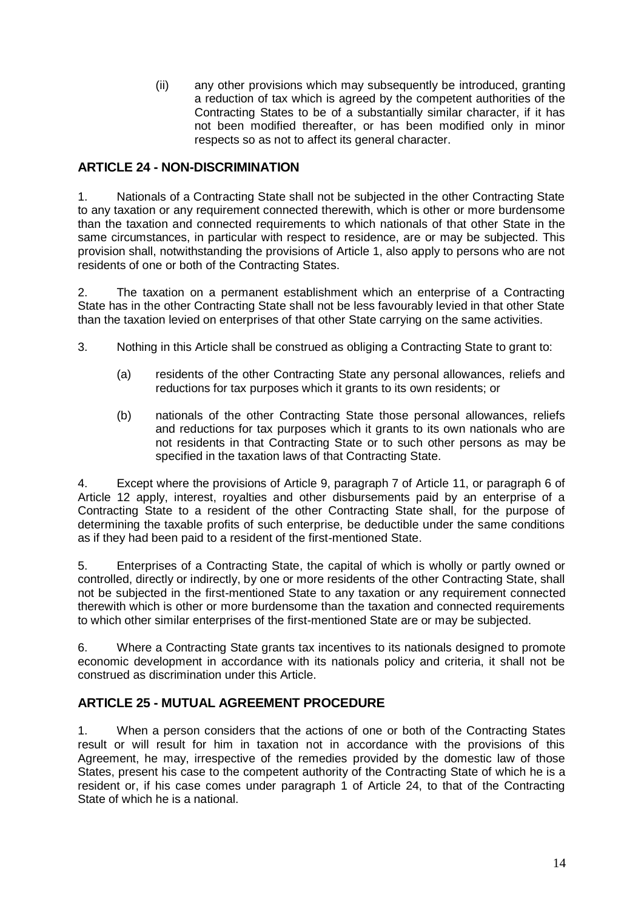(ii) any other provisions which may subsequently be introduced, granting a reduction of tax which is agreed by the competent authorities of the Contracting States to be of a substantially similar character, if it has not been modified thereafter, or has been modified only in minor respects so as not to affect its general character.

# **ARTICLE 24 - NON-DISCRIMINATION**

1. Nationals of a Contracting State shall not be subjected in the other Contracting State to any taxation or any requirement connected therewith, which is other or more burdensome than the taxation and connected requirements to which nationals of that other State in the same circumstances, in particular with respect to residence, are or may be subjected. This provision shall, notwithstanding the provisions of Article 1, also apply to persons who are not residents of one or both of the Contracting States.

2. The taxation on a permanent establishment which an enterprise of a Contracting State has in the other Contracting State shall not be less favourably levied in that other State than the taxation levied on enterprises of that other State carrying on the same activities.

- 3. Nothing in this Article shall be construed as obliging a Contracting State to grant to:
	- (a) residents of the other Contracting State any personal allowances, reliefs and reductions for tax purposes which it grants to its own residents; or
	- (b) nationals of the other Contracting State those personal allowances, reliefs and reductions for tax purposes which it grants to its own nationals who are not residents in that Contracting State or to such other persons as may be specified in the taxation laws of that Contracting State.

4. Except where the provisions of Article 9, paragraph 7 of Article 11, or paragraph 6 of Article 12 apply, interest, royalties and other disbursements paid by an enterprise of a Contracting State to a resident of the other Contracting State shall, for the purpose of determining the taxable profits of such enterprise, be deductible under the same conditions as if they had been paid to a resident of the first-mentioned State.

5. Enterprises of a Contracting State, the capital of which is wholly or partly owned or controlled, directly or indirectly, by one or more residents of the other Contracting State, shall not be subjected in the first-mentioned State to any taxation or any requirement connected therewith which is other or more burdensome than the taxation and connected requirements to which other similar enterprises of the first-mentioned State are or may be subjected.

6. Where a Contracting State grants tax incentives to its nationals designed to promote economic development in accordance with its nationals policy and criteria, it shall not be construed as discrimination under this Article.

# **ARTICLE 25 - MUTUAL AGREEMENT PROCEDURE**

1. When a person considers that the actions of one or both of the Contracting States result or will result for him in taxation not in accordance with the provisions of this Agreement, he may, irrespective of the remedies provided by the domestic law of those States, present his case to the competent authority of the Contracting State of which he is a resident or, if his case comes under paragraph 1 of Article 24, to that of the Contracting State of which he is a national.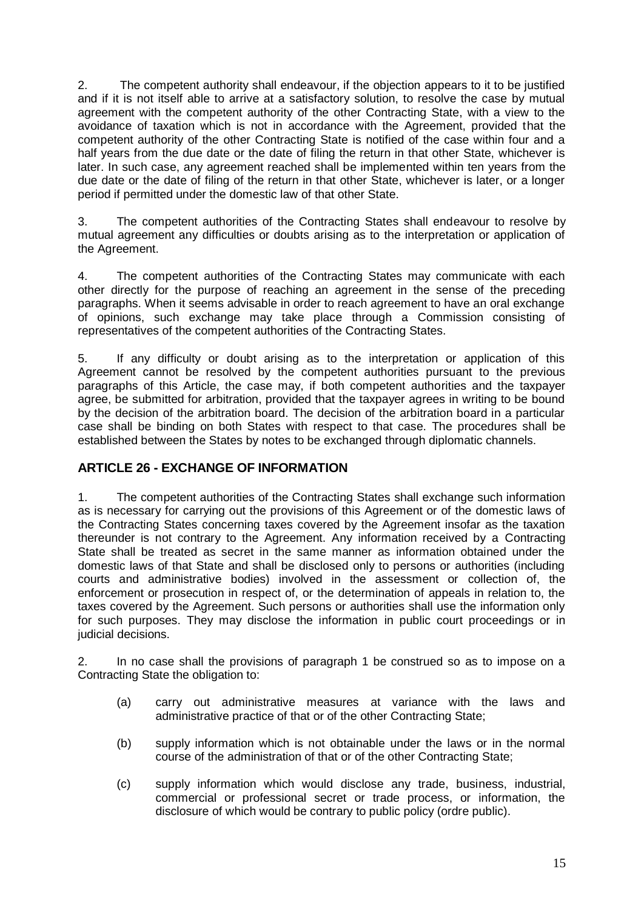2. The competent authority shall endeavour, if the objection appears to it to be justified and if it is not itself able to arrive at a satisfactory solution, to resolve the case by mutual agreement with the competent authority of the other Contracting State, with a view to the avoidance of taxation which is not in accordance with the Agreement, provided that the competent authority of the other Contracting State is notified of the case within four and a half years from the due date or the date of filing the return in that other State, whichever is later. In such case, any agreement reached shall be implemented within ten years from the due date or the date of filing of the return in that other State, whichever is later, or a longer period if permitted under the domestic law of that other State.

3. The competent authorities of the Contracting States shall endeavour to resolve by mutual agreement any difficulties or doubts arising as to the interpretation or application of the Agreement.

4. The competent authorities of the Contracting States may communicate with each other directly for the purpose of reaching an agreement in the sense of the preceding paragraphs. When it seems advisable in order to reach agreement to have an oral exchange of opinions, such exchange may take place through a Commission consisting of representatives of the competent authorities of the Contracting States.

5. If any difficulty or doubt arising as to the interpretation or application of this Agreement cannot be resolved by the competent authorities pursuant to the previous paragraphs of this Article, the case may, if both competent authorities and the taxpayer agree, be submitted for arbitration, provided that the taxpayer agrees in writing to be bound by the decision of the arbitration board. The decision of the arbitration board in a particular case shall be binding on both States with respect to that case. The procedures shall be established between the States by notes to be exchanged through diplomatic channels.

# **ARTICLE 26 - EXCHANGE OF INFORMATION**

1. The competent authorities of the Contracting States shall exchange such information as is necessary for carrying out the provisions of this Agreement or of the domestic laws of the Contracting States concerning taxes covered by the Agreement insofar as the taxation thereunder is not contrary to the Agreement. Any information received by a Contracting State shall be treated as secret in the same manner as information obtained under the domestic laws of that State and shall be disclosed only to persons or authorities (including courts and administrative bodies) involved in the assessment or collection of, the enforcement or prosecution in respect of, or the determination of appeals in relation to, the taxes covered by the Agreement. Such persons or authorities shall use the information only for such purposes. They may disclose the information in public court proceedings or in judicial decisions.

2. In no case shall the provisions of paragraph 1 be construed so as to impose on a Contracting State the obligation to:

- (a) carry out administrative measures at variance with the laws and administrative practice of that or of the other Contracting State;
- (b) supply information which is not obtainable under the laws or in the normal course of the administration of that or of the other Contracting State;
- (c) supply information which would disclose any trade, business, industrial, commercial or professional secret or trade process, or information, the disclosure of which would be contrary to public policy (ordre public).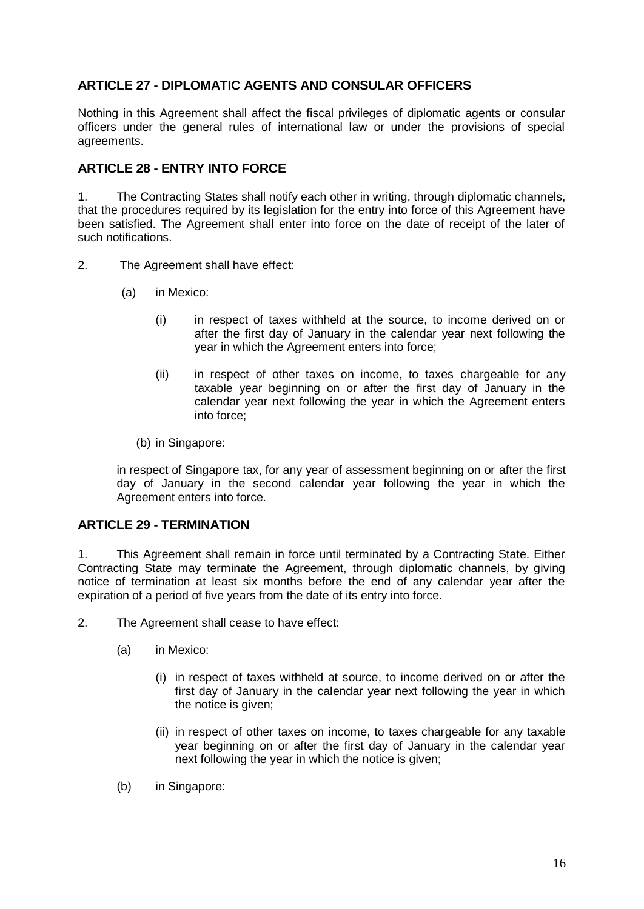# **ARTICLE 27 - DIPLOMATIC AGENTS AND CONSULAR OFFICERS**

Nothing in this Agreement shall affect the fiscal privileges of diplomatic agents or consular officers under the general rules of international law or under the provisions of special agreements.

## **ARTICLE 28 - ENTRY INTO FORCE**

1. The Contracting States shall notify each other in writing, through diplomatic channels, that the procedures required by its legislation for the entry into force of this Agreement have been satisfied. The Agreement shall enter into force on the date of receipt of the later of such notifications.

- 2. The Agreement shall have effect:
	- (a) in Mexico:
		- (i) in respect of taxes withheld at the source, to income derived on or after the first day of January in the calendar year next following the year in which the Agreement enters into force;
		- (ii) in respect of other taxes on income, to taxes chargeable for any taxable year beginning on or after the first day of January in the calendar year next following the year in which the Agreement enters into force;
		- (b) in Singapore:

in respect of Singapore tax, for any year of assessment beginning on or after the first day of January in the second calendar year following the year in which the Agreement enters into force.

#### **ARTICLE 29 - TERMINATION**

1. This Agreement shall remain in force until terminated by a Contracting State. Either Contracting State may terminate the Agreement, through diplomatic channels, by giving notice of termination at least six months before the end of any calendar year after the expiration of a period of five years from the date of its entry into force.

- 2. The Agreement shall cease to have effect:
	- (a) in Mexico:
		- (i) in respect of taxes withheld at source, to income derived on or after the first day of January in the calendar year next following the year in which the notice is given;
		- (ii) in respect of other taxes on income, to taxes chargeable for any taxable year beginning on or after the first day of January in the calendar year next following the year in which the notice is given;
	- (b) in Singapore: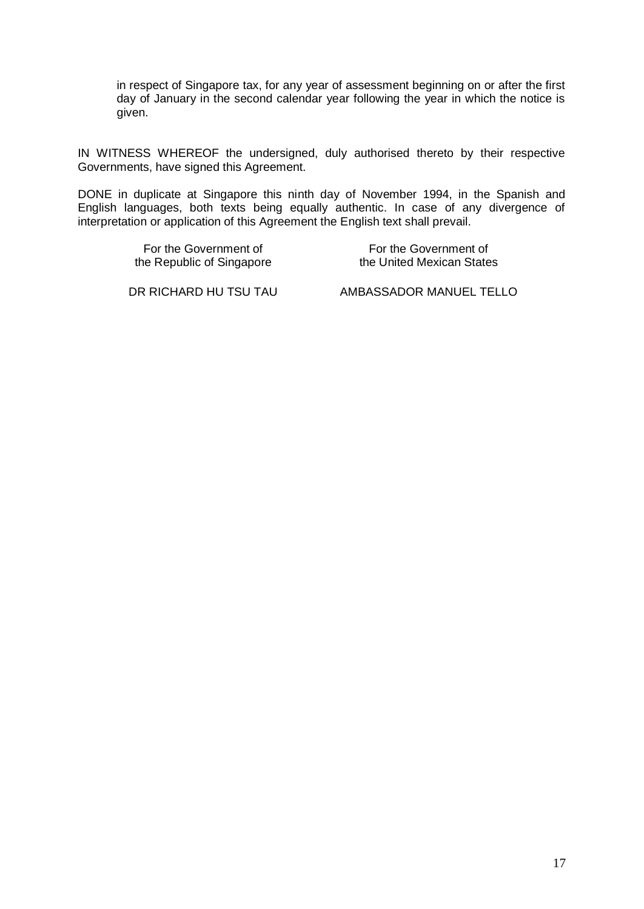in respect of Singapore tax, for any year of assessment beginning on or after the first day of January in the second calendar year following the year in which the notice is given.

IN WITNESS WHEREOF the undersigned, duly authorised thereto by their respective Governments, have signed this Agreement.

DONE in duplicate at Singapore this ninth day of November 1994, in the Spanish and English languages, both texts being equally authentic. In case of any divergence of interpretation or application of this Agreement the English text shall prevail.

> For the Government of the Republic of Singapore

For the Government of the United Mexican States

DR RICHARD HU TSU TAU AMBASSADOR MANUEL TELLO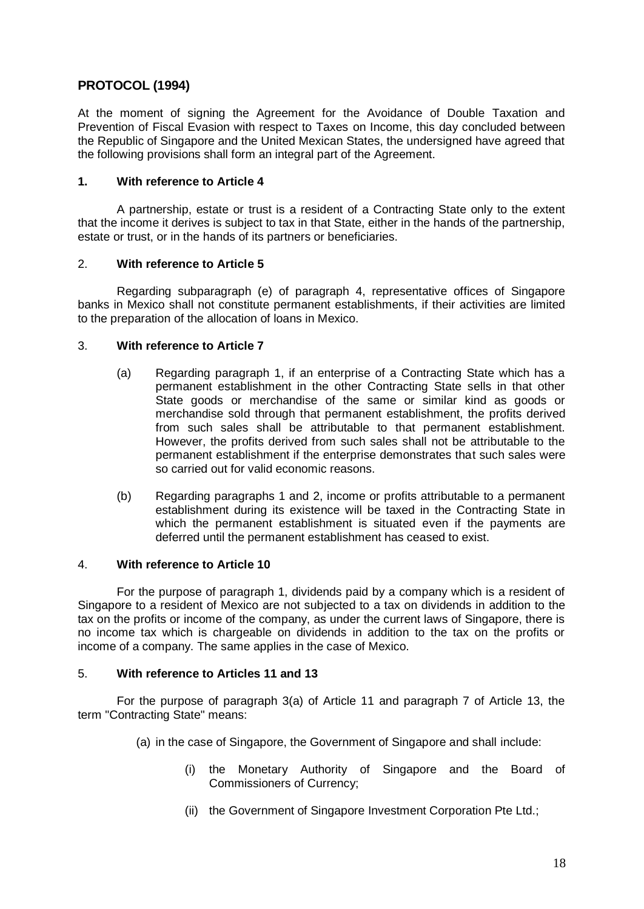## **PROTOCOL (1994)**

At the moment of signing the Agreement for the Avoidance of Double Taxation and Prevention of Fiscal Evasion with respect to Taxes on Income, this day concluded between the Republic of Singapore and the United Mexican States, the undersigned have agreed that the following provisions shall form an integral part of the Agreement.

#### **1. With reference to Article 4**

A partnership, estate or trust is a resident of a Contracting State only to the extent that the income it derives is subject to tax in that State, either in the hands of the partnership, estate or trust, or in the hands of its partners or beneficiaries.

#### 2. **With reference to Article 5**

Regarding subparagraph (e) of paragraph 4, representative offices of Singapore banks in Mexico shall not constitute permanent establishments, if their activities are limited to the preparation of the allocation of loans in Mexico.

#### 3. **With reference to Article 7**

- (a) Regarding paragraph 1, if an enterprise of a Contracting State which has a permanent establishment in the other Contracting State sells in that other State goods or merchandise of the same or similar kind as goods or merchandise sold through that permanent establishment, the profits derived from such sales shall be attributable to that permanent establishment. However, the profits derived from such sales shall not be attributable to the permanent establishment if the enterprise demonstrates that such sales were so carried out for valid economic reasons.
- (b) Regarding paragraphs 1 and 2, income or profits attributable to a permanent establishment during its existence will be taxed in the Contracting State in which the permanent establishment is situated even if the payments are deferred until the permanent establishment has ceased to exist.

#### 4. **With reference to Article 10**

For the purpose of paragraph 1, dividends paid by a company which is a resident of Singapore to a resident of Mexico are not subjected to a tax on dividends in addition to the tax on the profits or income of the company, as under the current laws of Singapore, there is no income tax which is chargeable on dividends in addition to the tax on the profits or income of a company. The same applies in the case of Mexico.

#### 5. **With reference to Articles 11 and 13**

For the purpose of paragraph 3(a) of Article 11 and paragraph 7 of Article 13, the term "Contracting State" means:

- (a) in the case of Singapore, the Government of Singapore and shall include:
	- (i) the Monetary Authority of Singapore and the Board of Commissioners of Currency;
	- (ii) the Government of Singapore Investment Corporation Pte Ltd.;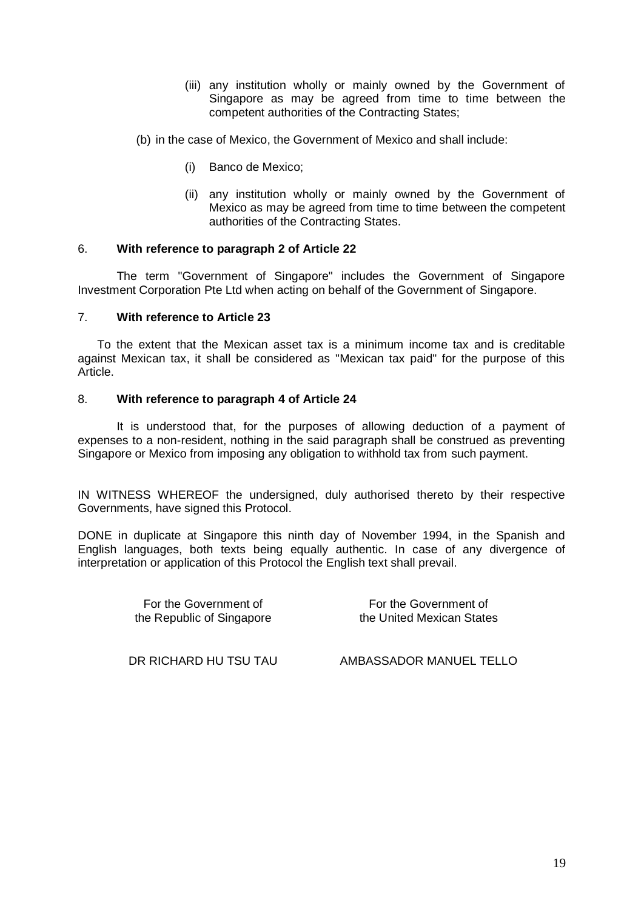- (iii) any institution wholly or mainly owned by the Government of Singapore as may be agreed from time to time between the competent authorities of the Contracting States;
- (b) in the case of Mexico, the Government of Mexico and shall include:
	- (i) Banco de Mexico;
	- (ii) any institution wholly or mainly owned by the Government of Mexico as may be agreed from time to time between the competent authorities of the Contracting States.

#### 6. **With reference to paragraph 2 of Article 22**

The term "Government of Singapore" includes the Government of Singapore Investment Corporation Pte Ltd when acting on behalf of the Government of Singapore.

#### 7. **With reference to Article 23**

To the extent that the Mexican asset tax is a minimum income tax and is creditable against Mexican tax, it shall be considered as "Mexican tax paid" for the purpose of this Article.

#### 8. **With reference to paragraph 4 of Article 24**

It is understood that, for the purposes of allowing deduction of a payment of expenses to a non-resident, nothing in the said paragraph shall be construed as preventing Singapore or Mexico from imposing any obligation to withhold tax from such payment.

IN WITNESS WHEREOF the undersigned, duly authorised thereto by their respective Governments, have signed this Protocol.

DONE in duplicate at Singapore this ninth day of November 1994, in the Spanish and English languages, both texts being equally authentic. In case of any divergence of interpretation or application of this Protocol the English text shall prevail.

> For the Government of the Republic of Singapore

For the Government of the United Mexican States

DR RICHARD HU TSU TAU AMBASSADOR MANUEL TELLO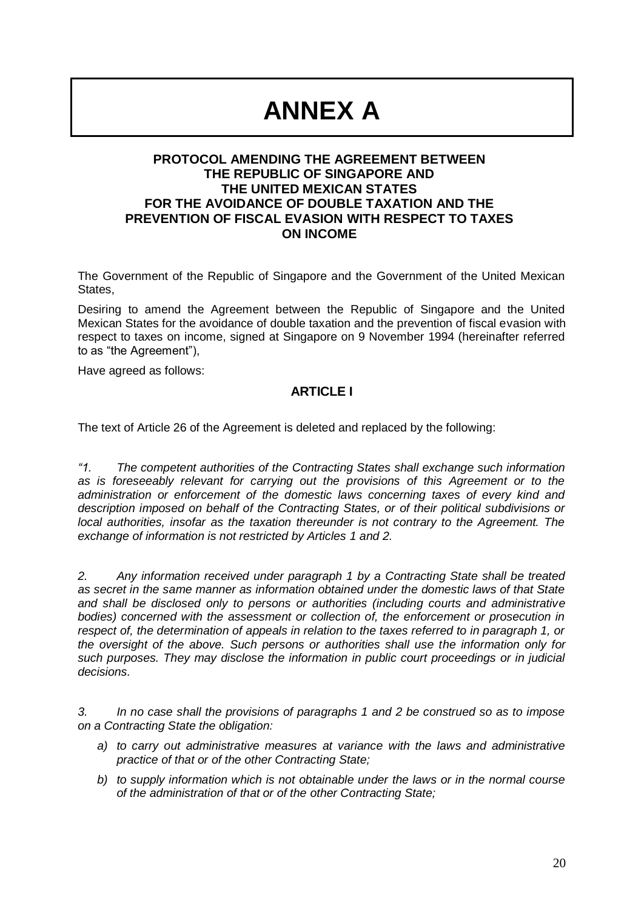# **ANNEX A**

#### **PROTOCOL AMENDING THE AGREEMENT BETWEEN THE REPUBLIC OF SINGAPORE AND THE UNITED MEXICAN STATES FOR THE AVOIDANCE OF DOUBLE TAXATION AND THE PREVENTION OF FISCAL EVASION WITH RESPECT TO TAXES ON INCOME**

The Government of the Republic of Singapore and the Government of the United Mexican States,

Desiring to amend the Agreement between the Republic of Singapore and the United Mexican States for the avoidance of double taxation and the prevention of fiscal evasion with respect to taxes on income, signed at Singapore on 9 November 1994 (hereinafter referred to as "the Agreement"),

Have agreed as follows:

#### **ARTICLE I**

The text of Article 26 of the Agreement is deleted and replaced by the following:

*"1. The competent authorities of the Contracting States shall exchange such information as is foreseeably relevant for carrying out the provisions of this Agreement or to the administration or enforcement of the domestic laws concerning taxes of every kind and description imposed on behalf of the Contracting States, or of their political subdivisions or local authorities, insofar as the taxation thereunder is not contrary to the Agreement. The exchange of information is not restricted by Articles 1 and 2.* 

*2. Any information received under paragraph 1 by a Contracting State shall be treated as secret in the same manner as information obtained under the domestic laws of that State and shall be disclosed only to persons or authorities (including courts and administrative bodies) concerned with the assessment or collection of, the enforcement or prosecution in respect of, the determination of appeals in relation to the taxes referred to in paragraph 1, or the oversight of the above. Such persons or authorities shall use the information only for such purposes. They may disclose the information in public court proceedings or in judicial decisions.*

*3. In no case shall the provisions of paragraphs 1 and 2 be construed so as to impose on a Contracting State the obligation:*

- *a) to carry out administrative measures at variance with the laws and administrative practice of that or of the other Contracting State;*
- *b) to supply information which is not obtainable under the laws or in the normal course of the administration of that or of the other Contracting State;*